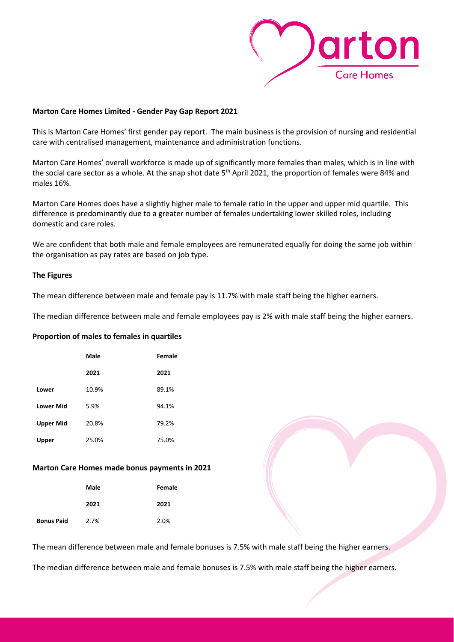

## **Marton Care Homes Limited - Gender Pay Gap Report 2021**

This is Marton Care Homes' first gender pay report. The main business is the provision of nursing and residential care with centralised management, maintenance and administration functions.

Marton Care Homes' overall workforce is made up of significantly more females than males, which is in line with the social care sector as a whole. At the snap shot date 5<sup>th</sup> April 2021, the proportion of females were 84% and males 16%.

Marton Care Homes does have a slightly higher male to female ratio in the upper and upper mid quartile. This difference is predominantly due to a greater number of females undertaking lower skilled roles, including domestic and care roles.

We are confident that both male and female employees are remunerated equally for doing the same job within the organisation as pay rates are based on job type.

## **The Figures**

The mean difference between male and female pay is 11.7% with male staff being the higher earners.

The median difference between male and female employees pay is 2% with male staff being the higher earners.

## **Proportion of males to females in quartiles**

|                  | Male  | Female |
|------------------|-------|--------|
|                  | 2021  | 2021   |
| Lower            | 10.9% | 89.1%  |
| <b>Lower Mid</b> | 5.9%  | 94.1%  |
| <b>Upper Mid</b> | 20.8% | 79.2%  |
| Upper            | 25.0% | 75.0%  |

## **Marton Care Homes made bonus payments in 2021**

|                   | Male | Female |
|-------------------|------|--------|
|                   | 2021 | 2021   |
| <b>Bonus Paid</b> | 2.7% | 2.0%   |

The mean difference between male and female bonuses is 7.5% with male staff being the higher earners.

The median difference between male and female bonuses is 7.5% with male staff being the higher earners.